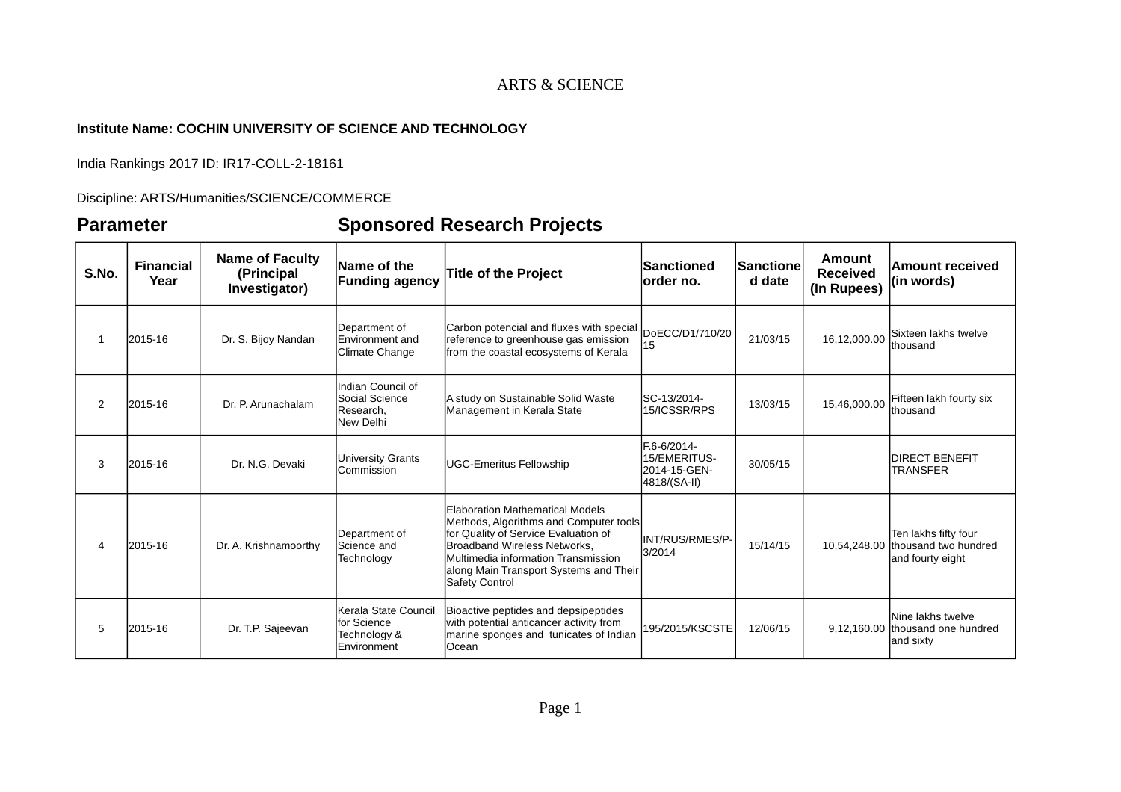#### **Institute Name: COCHIN UNIVERSITY OF SCIENCE AND TECHNOLOGY**

India Rankings 2017 ID: IR17-COLL-2-18161

Discipline: ARTS/Humanities/SCIENCE/COMMERCE

# **Parameter Sponsored Research Projects**

| S.No.          | <b>Financial</b><br>Year | <b>Name of Faculty</b><br>(Principal<br>Investigator) | Name of the<br><b>Funding agency</b>                               | <b>Title of the Project</b>                                                                                                                                                                                                                          | <b>Sanctioned</b><br>lorder no.                             | <b>Sanctione</b><br>d date | Amount<br><b>Received</b><br>(In Rupees) | Amount received<br>(in words)                                                 |
|----------------|--------------------------|-------------------------------------------------------|--------------------------------------------------------------------|------------------------------------------------------------------------------------------------------------------------------------------------------------------------------------------------------------------------------------------------------|-------------------------------------------------------------|----------------------------|------------------------------------------|-------------------------------------------------------------------------------|
| $\mathbf{1}$   | 2015-16                  | Dr. S. Bijoy Nandan                                   | Department of<br><b>Environment</b> and<br>Climate Change          | Carbon potencial and fluxes with special<br>reference to greenhouse gas emission<br>from the coastal ecosystems of Kerala                                                                                                                            | DoECC/D1/710/20<br>15                                       | 21/03/15                   | 16,12,000.00                             | Sixteen lakhs twelve<br>lthousand                                             |
| 2              | 2015-16                  | Dr. P. Arunachalam                                    | Indian Council of<br>Social Science<br>Research,<br>New Delhi      | A study on Sustainable Solid Waste<br> Management in Kerala State                                                                                                                                                                                    | ISC-13/2014-<br>15/ICSSR/RPS                                | 13/03/15                   | 15.46.000.00                             | Fifteen lakh fourty six<br>thousand                                           |
| 3              | 2015-16                  | Dr. N.G. Devaki                                       | <b>University Grants</b><br>Commission                             | <b>UGC-Emeritus Fellowship</b>                                                                                                                                                                                                                       | F.6-6/2014-<br>15/EMERITUS-<br>2014-15-GEN-<br>4818/(SA-II) | 30/05/15                   |                                          | <b>DIRECT BENEFIT</b><br>TRANSFER                                             |
| $\overline{4}$ | 2015-16                  | Dr. A. Krishnamoorthy                                 | Department of<br>Science and<br>Technology                         | Elaboration Mathematical Models<br>Methods, Algorithms and Computer tools<br>for Quality of Service Evaluation of<br>Broadband Wireless Networks.<br>Multimedia information Transmission<br>along Main Transport Systems and Their<br>Safety Control | INT/RUS/RMES/P-<br>3/2014                                   | 15/14/15                   |                                          | Ten lakhs fifty four<br>10.54.248.00 thousand two hundred<br>and fourty eight |
| 5              | 2015-16                  | Dr. T.P. Sajeevan                                     | Kerala State Council<br>for Science<br>Technology &<br>Environment | Bioactive peptides and depsipeptides<br>with potential anticancer activity from<br>marine sponges and tunicates of Indian<br>Ocean                                                                                                                   | 195/2015/KSCSTE                                             | 12/06/15                   |                                          | Nine lakhs twelve<br>9,12,160.00 thousand one hundred<br>and sixty            |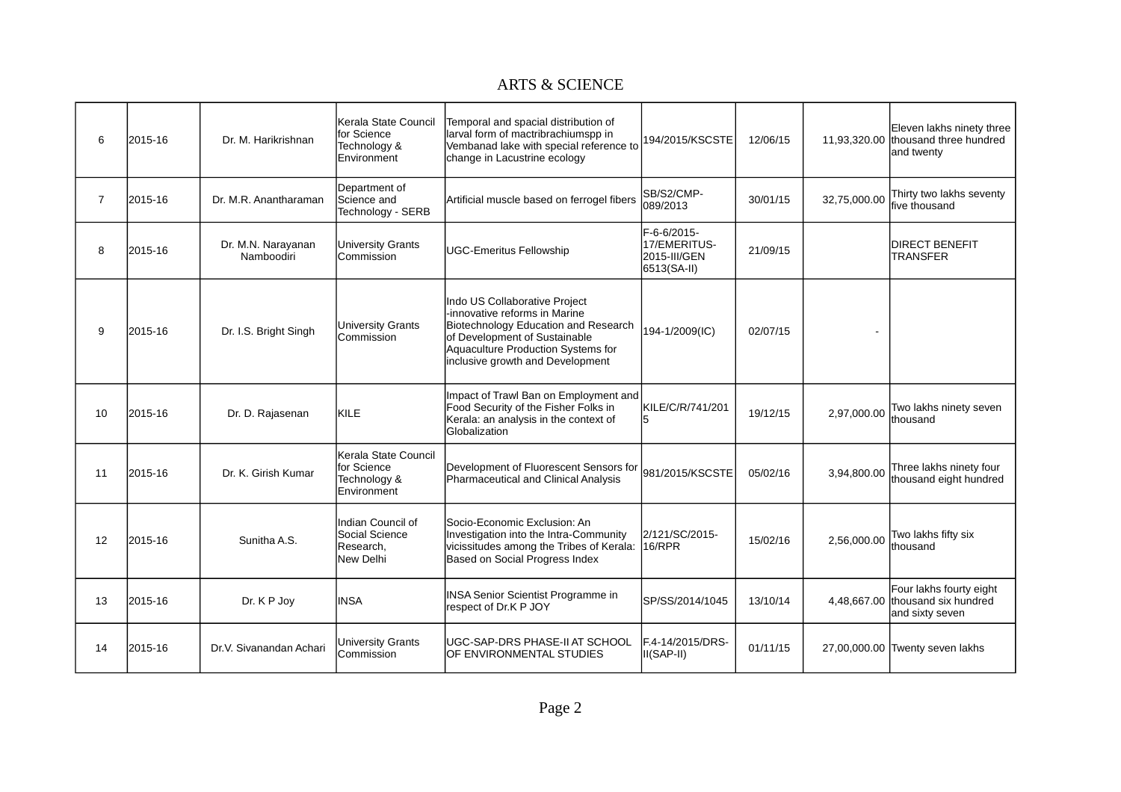| 6              | 2015-16 | Dr. M. Harikrishnan              | Kerala State Council<br>lfor Science<br>Technology &<br><b>Environment</b>   | Temporal and spacial distribution of<br>larval form of mactribrachiumspp in<br>Vembanad lake with special reference to<br>change in Lacustrine ecology                                                            | 194/2015/KSCSTE                                            | 12/06/15 |              | Eleven lakhs ninety three<br>11,93,320.00 thousand three hundred<br>and twenty |
|----------------|---------|----------------------------------|------------------------------------------------------------------------------|-------------------------------------------------------------------------------------------------------------------------------------------------------------------------------------------------------------------|------------------------------------------------------------|----------|--------------|--------------------------------------------------------------------------------|
| $\overline{7}$ | 2015-16 | Dr. M.R. Anantharaman            | Department of<br>Science and<br>Technology - SERB                            | Artificial muscle based on ferrogel fibers                                                                                                                                                                        | SB/S2/CMP-<br>089/2013                                     | 30/01/15 | 32,75,000.00 | Thirty two lakhs seventy<br>five thousand                                      |
| 8              | 2015-16 | Dr. M.N. Narayanan<br>Namboodiri | University Grants<br><b>Commission</b>                                       | UGC-Emeritus Fellowship                                                                                                                                                                                           | F-6-6/2015-<br>17/EMERITUS-<br>2015-III/GEN<br>6513(SA-II) | 21/09/15 |              | <b>DIRECT BENEFIT</b><br><b>TRANSFER</b>                                       |
| 9              | 2015-16 | Dr. I.S. Bright Singh            | University Grants<br>Commission                                              | Indo US Collaborative Project<br>-innovative reforms in Marine<br>Biotechnology Education and Research<br>of Development of Sustainable<br>Aquaculture Production Systems for<br>inclusive growth and Development | 194-1/2009(IC)                                             | 02/07/15 |              |                                                                                |
| 10             | 2015-16 | Dr. D. Rajasenan                 | KILE                                                                         | Impact of Trawl Ban on Employment and<br>Food Security of the Fisher Folks in<br>Kerala: an analysis in the context of<br><b>Globalization</b>                                                                    | KILE/C/R/741/201<br>5                                      | 19/12/15 | 2,97,000.00  | Two lakhs ninety seven<br>Ithousand                                            |
| 11             | 2015-16 | Dr. K. Girish Kumar              | Kerala State Council<br>for Science<br>Technology &<br>Environment           | Development of Fluorescent Sensors for<br>Pharmaceutical and Clinical Analysis                                                                                                                                    | 981/2015/KSCSTE                                            | 05/02/16 | 3.94.800.00  | Three lakhs ninety four<br>lthousand eight hundred                             |
| 12             | 2015-16 | Sunitha A.S.                     | Indian Council of<br><b>S</b> ocial Science<br>Research,<br><b>New Delhi</b> | Socio-Economic Exclusion: An<br>Investigation into the Intra-Community<br>vicissitudes among the Tribes of Kerala:<br>Based on Social Progress Index                                                              | 2/121/SC/2015-<br>16/RPR                                   | 15/02/16 | 2.56.000.00  | Two lakhs fifty six<br>lthousand                                               |
| 13             | 2015-16 | Dr. K P Joy                      | <b>INSA</b>                                                                  | <b>INSA Senior Scientist Programme in</b><br>respect of Dr.K P JOY                                                                                                                                                | SP/SS/2014/1045                                            | 13/10/14 |              | Four lakhs fourty eight<br>4,48,667.00 thousand six hundred<br>and sixty seven |
| 14             | 2015-16 | Dr.V. Sivanandan Achari          | University Grants<br><b>Commission</b>                                       | lUGC-SAP-DRS PHASE-II AT SCHOOL<br>OF ENVIRONMENTAL STUDIES                                                                                                                                                       | F.4-14/2015/DRS-<br>$II(SAP-II)$                           | 01/11/15 |              | 27,00,000.00 Twenty seven lakhs                                                |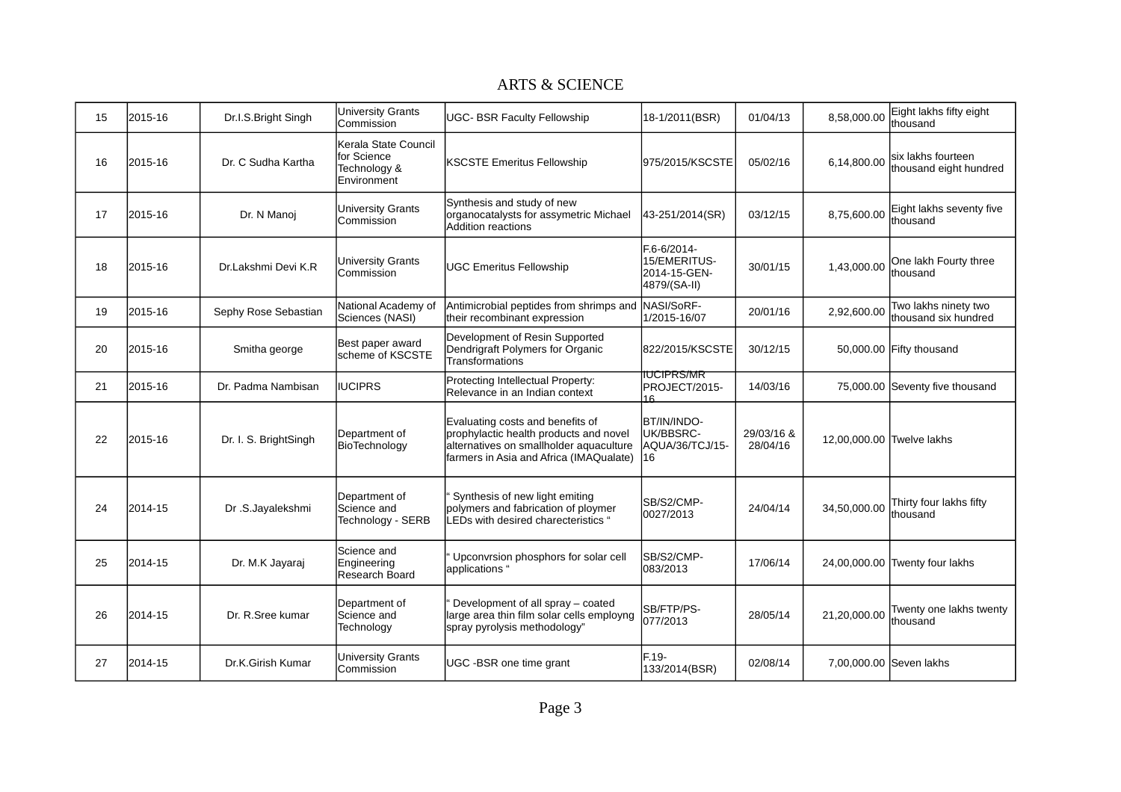| 15 | 2015-16 | Dr.I.S.Bright Singh   | <b>University Grants</b><br>Commission                             | <b>UGC- BSR Faculty Fellowship</b>                                                                                                                               | 18-1/2011(BSR)                                              | 01/04/13               | 8.58.000.00               | Eight lakhs fifty eight<br>lthousand          |
|----|---------|-----------------------|--------------------------------------------------------------------|------------------------------------------------------------------------------------------------------------------------------------------------------------------|-------------------------------------------------------------|------------------------|---------------------------|-----------------------------------------------|
| 16 | 2015-16 | Dr. C Sudha Kartha    | Kerala State Council<br>for Science<br>Technology &<br>Environment | <b>KSCSTE Emeritus Fellowship</b>                                                                                                                                | 975/2015/KSCSTE                                             | 05/02/16               | 6,14,800.00               | lsix lakhs fourteen<br>thousand eight hundred |
| 17 | 2015-16 | Dr. N Manoj           | University Grants<br><b>Commission</b>                             | Synthesis and study of new<br>organocatalysts for assymetric Michael<br>Addition reactions                                                                       | 43-251/2014(SR)                                             | 03/12/15               | 8,75,600.00               | Eight lakhs seventy five<br>Ithousand         |
| 18 | 2015-16 | Dr.Lakshmi Devi K.R   | University Grants<br>Commission                                    | UGC Emeritus Fellowship                                                                                                                                          | F.6-6/2014-<br>15/EMERITUS-<br>2014-15-GEN-<br>4879/(SA-II) | 30/01/15               | 1,43,000.00               | One lakh Fourty three<br>thousand             |
| 19 | 2015-16 | Sephy Rose Sebastian  | National Academy of<br>Sciences (NASI)                             | Antimicrobial peptides from shrimps and<br>their recombinant expression                                                                                          | NASI/SoRF-<br>1/2015-16/07                                  | 20/01/16               | 2.92.600.00               | Two lakhs ninety two<br>Ithousand six hundred |
| 20 | 2015-16 | Smitha george         | Best paper award<br>scheme of KSCSTE                               | Development of Resin Supported<br>Dendrigraft Polymers for Organic<br>Transformations                                                                            | 822/2015/KSCSTE                                             | 30/12/15               |                           | 50,000.00 Fifty thousand                      |
| 21 | 2015-16 | Dr. Padma Nambisan    | <b>IIUCIPRS</b>                                                    | Protecting Intellectual Property:<br>Relevance in an Indian context                                                                                              | IUCIPRS/MR<br>PROJECT/2015-<br>16                           | 14/03/16               |                           | 75,000.00 Seventy five thousand               |
| 22 | 2015-16 | Dr. I. S. BrightSingh | Department of<br>BioTechnology                                     | Evaluating costs and benefits of<br>prophylactic health products and novel<br>alternatives on smallholder aquaculture<br>farmers in Asia and Africa (IMAQualate) | BT/IN/INDO-<br>UK/BBSRC-<br>AQUA/36/TCJ/15-<br>16           | 29/03/16 &<br>28/04/16 | 12,00,000.00 Twelve lakhs |                                               |
| 24 | 2014-15 | Dr .S.Jayalekshmi     | Department of<br>Science and<br>Technology - SERB                  | Synthesis of new light emiting<br>polymers and fabrication of ploymer<br>LEDs with desired charecteristics "                                                     | SB/S2/CMP-<br>0027/2013                                     | 24/04/14               | 34,50,000.00              | Thirty four lakhs fifty<br>Ithousand          |
| 25 | 2014-15 | Dr. M.K Jayaraj       | Science and<br>Engineering<br>Research Board                       | Upconvrsion phosphors for solar cell<br>lapplications "                                                                                                          | SB/S2/CMP-<br>083/2013                                      | 17/06/14               |                           | 24,00,000.00 Twenty four lakhs                |
| 26 | 2014-15 | Dr. R.Sree kumar      | Department of<br>Science and<br>Technology                         | Development of all spray - coated<br>large area thin film solar cells employng<br>spray pyrolysis methodology"                                                   | SB/FTP/PS-<br>077/2013                                      | 28/05/14               | 21,20,000.00              | Twenty one lakhs twenty<br>lthousand          |
| 27 | 2014-15 | Dr.K.Girish Kumar     | University Grants<br>Commission                                    | UGC -BSR one time grant                                                                                                                                          | $F.19-$<br>133/2014(BSR)                                    | 02/08/14               | 7,00,000.00 Seven lakhs   |                                               |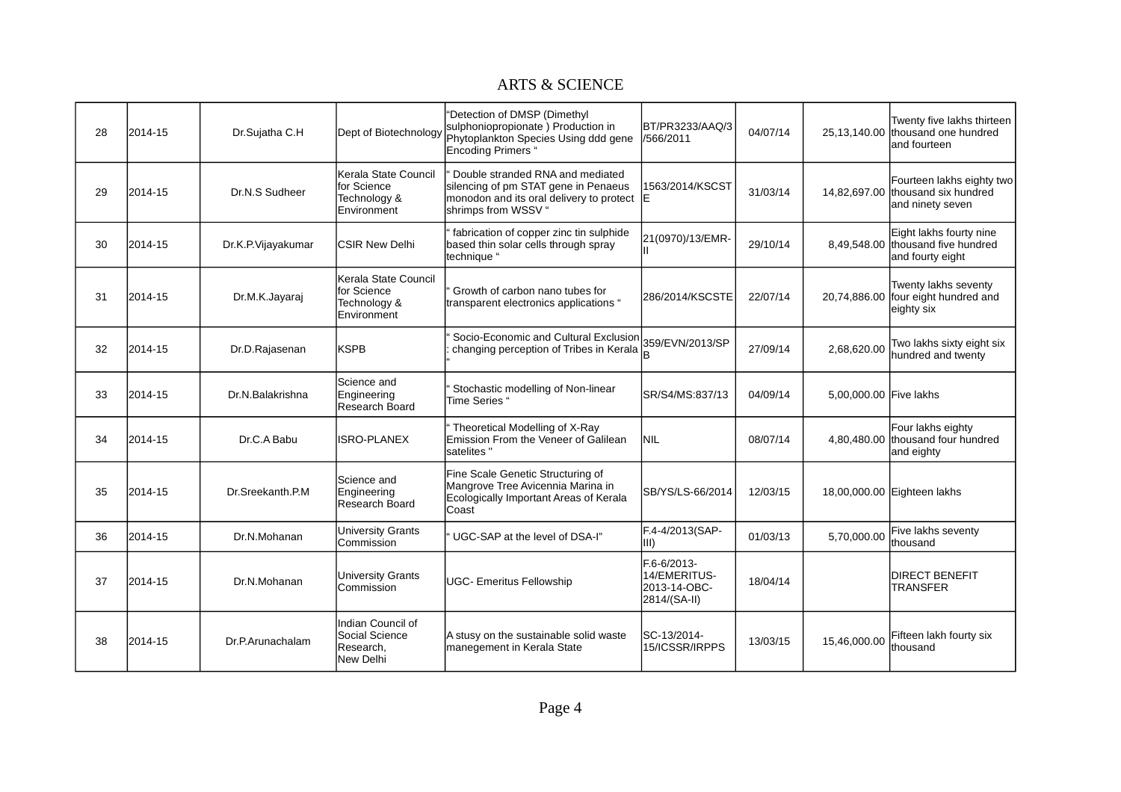| 28 | 2014-15 | Dr.Sujatha C.H     | Dept of Biotechnology                                                             | "Detection of DMSP (Dimethyl<br>sulphoniopropionate) Production in<br>Phytoplankton Species Using ddd gene<br>Encoding Primers "            | BT/PR3233/AAQ/3<br>/566/2011                                | 04/07/14 |                        | Twenty five lakhs thirteen<br>25,13,140.00 thousand one hundred<br>land fourteen   |
|----|---------|--------------------|-----------------------------------------------------------------------------------|---------------------------------------------------------------------------------------------------------------------------------------------|-------------------------------------------------------------|----------|------------------------|------------------------------------------------------------------------------------|
| 29 | 2014-15 | Dr.N.S Sudheer     | Kerala State Council<br><b>Ifor Science</b><br>Technology &<br><b>Environment</b> | Double stranded RNA and mediated<br>silencing of pm STAT gene in Penaeus<br>monodon and its oral delivery to protect<br>shrimps from WSSV " | 1563/2014/KSCST<br>ΙE                                       | 31/03/14 |                        | Fourteen lakhs eighty two<br>14,82,697.00 thousand six hundred<br>and ninety seven |
| 30 | 2014-15 | Dr.K.P.Vijayakumar | <b>ICSIR New Delhi</b>                                                            | fabrication of copper zinc tin sulphide<br>based thin solar cells through spray<br>technique "                                              | 21(0970)/13/EMR-                                            | 29/10/14 |                        | Eight lakhs fourty nine<br>8,49,548.00 thousand five hundred<br>and fourty eight   |
| 31 | 2014-15 | Dr.M.K.Jayaraj     | Kerala State Council<br>for Science<br>Technology &<br><b>Environment</b>         | Growth of carbon nano tubes for<br>transparent electronics applications "                                                                   | I286/2014/KSCSTE                                            | 22/07/14 |                        | Twenty lakhs seventy<br>20,74,886.00 four eight hundred and<br>eighty six          |
| 32 | 2014-15 | Dr.D.Rajasenan     | <b>IKSPB</b>                                                                      | Socio-Economic and Cultural Exclusion<br>changing perception of Tribes in Kerala                                                            | 359/EVN/2013/SP<br>B                                        | 27/09/14 | 2.68.620.00            | Two lakhs sixty eight six<br>Inundred and twenty                                   |
| 33 | 2014-15 | Dr.N.Balakrishna   | Science and<br>Engineering<br>Research Board                                      | Stochastic modelling of Non-linear<br>Time Series "                                                                                         | SR/S4/MS:837/13                                             | 04/09/14 | 5,00,000.00 Five lakhs |                                                                                    |
| 34 | 2014-15 | Dr.C.A Babu        | <b>ISRO-PLANEX</b>                                                                | Theoretical Modelling of X-Ray<br>Emission From the Veneer of Galilean<br>lsatelites "                                                      | NIL                                                         | 08/07/14 |                        | Four lakhs eighty<br>4,80,480.00 thousand four hundred<br>and eighty               |
| 35 | 2014-15 | Dr.Sreekanth.P.M   | lScience and<br>Engineering<br><b>Research Board</b>                              | Fine Scale Genetic Structuring of<br>Mangrove Tree Avicennia Marina in<br>Ecologically Important Areas of Kerala<br>Coast                   | SB/YS/LS-66/2014                                            | 12/03/15 |                        | 18,00,000.00 Eighteen lakhs                                                        |
| 36 | 2014-15 | Dr.N.Mohanan       | University Grants<br><b>ICommission</b>                                           | UGC-SAP at the level of DSA-I"                                                                                                              | F.4-4/2013(SAP-<br>III)                                     | 01/03/13 | 5,70,000.00            | Five lakhs seventy<br>lthousand                                                    |
| 37 | 2014-15 | Dr.N.Mohanan       | University Grants<br><b>Commission</b>                                            | UGC- Emeritus Fellowship                                                                                                                    | F.6-6/2013-<br>14/EMERITUS-<br>2013-14-OBC-<br>2814/(SA-II) | 18/04/14 |                        | <b>DIRECT BENEFIT</b><br>ITRANSFER                                                 |
| 38 | 2014-15 | Dr.P.Arunachalam   | Indian Council of<br>Social Science<br>Research.<br><b>New Delhi</b>              | A stusy on the sustainable solid waste<br>manegement in Kerala State                                                                        | SC-13/2014-<br>15/ICSSR/IRPPS                               | 13/03/15 | 15.46.000.00           | Fifteen lakh fourty six<br>lthousand                                               |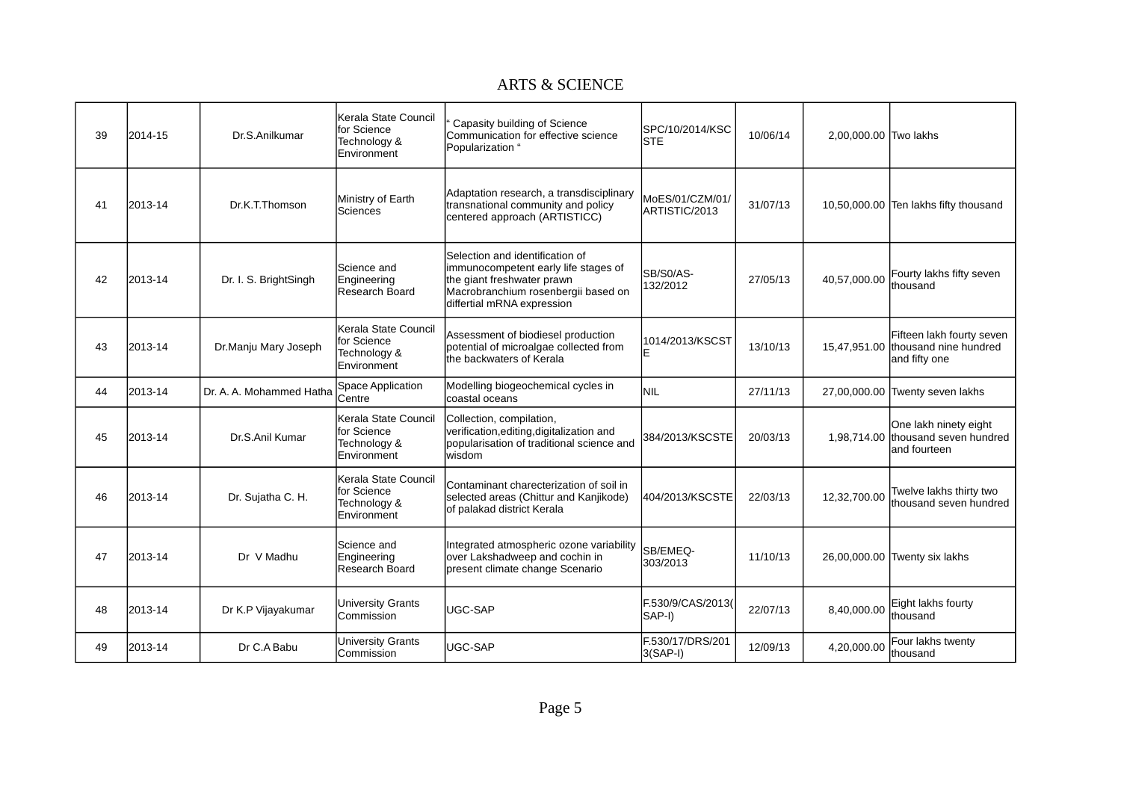| 39 | 2014-15 | Dr.S.Anilkumar           | Kerala State Council<br>for Science<br>Technology &<br><b>IEnvironment</b> | Capasity building of Science<br>Communication for effective science<br>Popularization "                                                                                    | SPC/10/2014/KSC<br>ISTE          | 10/06/14 | 2,00,000.00 Two lakhs |                                                                                  |
|----|---------|--------------------------|----------------------------------------------------------------------------|----------------------------------------------------------------------------------------------------------------------------------------------------------------------------|----------------------------------|----------|-----------------------|----------------------------------------------------------------------------------|
| 41 | 2013-14 | Dr.K.T.Thomson           | Ministry of Earth<br>Sciences                                              | Adaptation research, a transdisciplinary<br>transnational community and policy<br>centered approach (ARTISTICC)                                                            | MoES/01/CZM/01/<br>ARTISTIC/2013 | 31/07/13 |                       | 10,50,000.00 Ten lakhs fifty thousand                                            |
| 42 | 2013-14 | Dr. I. S. BrightSingh    | Science and<br>Engineering<br>Research Board                               | Selection and identification of<br>immunocompetent early life stages of<br>the giant freshwater prawn<br>Macrobranchium rosenbergii based on<br>differtial mRNA expression | SB/S0/AS-<br>132/2012            | 27/05/13 | 40.57.000.00          | Fourty lakhs fifty seven<br>thousand                                             |
| 43 | 2013-14 | Dr.Manju Mary Joseph     | Kerala State Council<br>for Science<br>Technology &<br><b>IEnvironment</b> | Assessment of biodiesel production<br>potential of microalgae collected from<br>lthe backwaters of Kerala                                                                  | 1014/2013/KSCST                  | 13/10/13 |                       | Fifteen lakh fourty seven<br>15,47,951.00 thousand nine hundred<br>and fifty one |
| 44 | 2013-14 | Dr. A. A. Mohammed Hatha | <b>Space Application</b><br>Centre                                         | Modelling biogeochemical cycles in<br>coastal oceans                                                                                                                       | <b>NIL</b>                       | 27/11/13 |                       | 27,00,000.00 Twenty seven lakhs                                                  |
| 45 | 2013-14 | Dr.S.Anil Kumar          | Kerala State Council<br>for Science<br>Technology &<br><b>Environment</b>  | Collection, compilation,<br>verification, editing, digitalization and<br>popularisation of traditional science and<br>lwisdom                                              | 384/2013/KSCSTE                  | 20/03/13 |                       | One lakh ninety eight<br>1,98,714.00 thousand seven hundred<br>and fourteen      |
| 46 | 2013-14 | Dr. Sujatha C. H.        | Kerala State Council<br>for Science<br>Technology &<br>Environment         | Contaminant charecterization of soil in<br>selected areas (Chittur and Kanjikode)<br>of palakad district Kerala                                                            | 404/2013/KSCSTE                  | 22/03/13 | 12,32,700.00          | Twelve lakhs thirty two<br>Ithousand seven hundred                               |
| 47 | 2013-14 | Dr V Madhu               | Science and<br>Engineering<br>Research Board                               | Integrated atmospheric ozone variability<br>over Lakshadweep and cochin in<br>present climate change Scenario                                                              | SB/EMEQ-<br>303/2013             | 11/10/13 |                       | 26,00,000.00 Twenty six lakhs                                                    |
| 48 | 2013-14 | Dr K.P Vijayakumar       | University Grants<br>Commission                                            | UGC-SAP                                                                                                                                                                    | F.530/9/CAS/2013(<br>SAP-I)      | 22/07/13 | 8,40,000.00           | Eight lakhs fourty<br>lthousand                                                  |
| 49 | 2013-14 | Dr C.A Babu              | <b>University Grants</b><br>Commission                                     | UGC-SAP                                                                                                                                                                    | F.530/17/DRS/201<br>$3(SAP-I)$   | 12/09/13 | 4,20,000.00           | Four lakhs twenty<br>thousand                                                    |